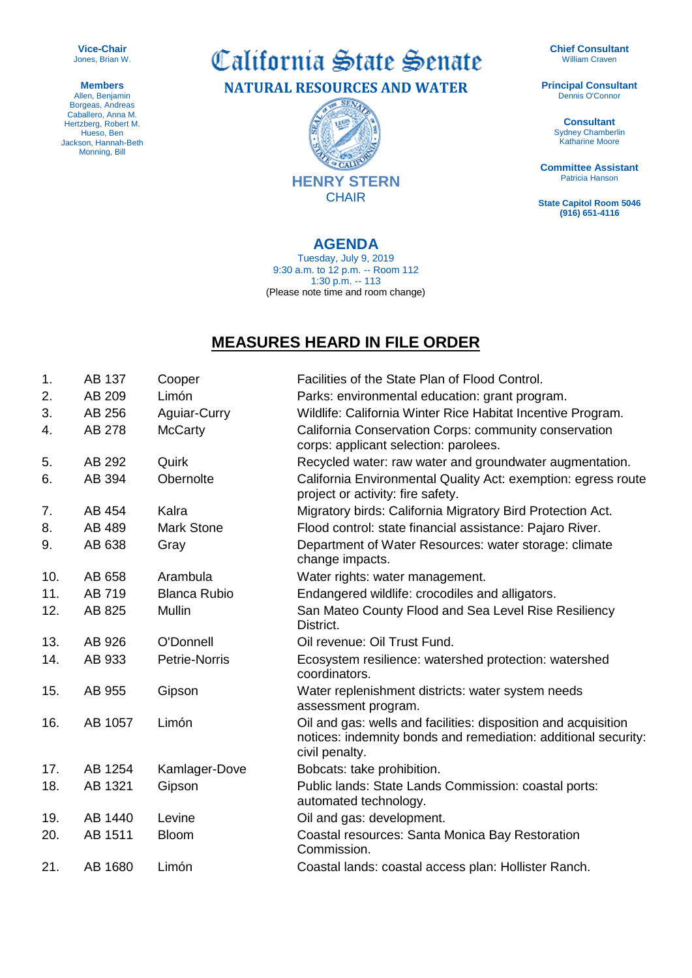**Vice-Chair** Jones, Brian W.

**Members** Allen, Benjamin Borgeas, Andreas Caballero, Anna M. Hertzberg, Robert M. Hueso, Ben Jackson, Hannah-Beth Monning, Bill

California State Senate **NATURAL RESOURCES AND WATER**

> **SENT** 總 CALIFO **HENRY STERN CHAIR**

## **AGENDA**

Tuesday, July 9, 2019 9:30 a.m. to 12 p.m. -- Room 112 1:30 p.m. -- 113 (Please note time and room change)

## **MEASURES HEARD IN FILE ORDER**

| 1.  | AB 137  | Cooper              | Facilities of the State Plan of Flood Control.                                                                                                     |
|-----|---------|---------------------|----------------------------------------------------------------------------------------------------------------------------------------------------|
| 2.  | AB 209  | Limón               | Parks: environmental education: grant program.                                                                                                     |
| 3.  | AB 256  | Aguiar-Curry        | Wildlife: California Winter Rice Habitat Incentive Program.                                                                                        |
| 4.  | AB 278  | <b>McCarty</b>      | California Conservation Corps: community conservation<br>corps: applicant selection: parolees.                                                     |
| 5.  | AB 292  | Quirk               | Recycled water: raw water and groundwater augmentation.                                                                                            |
| 6.  | AB 394  | Obernolte           | California Environmental Quality Act: exemption: egress route<br>project or activity: fire safety.                                                 |
| 7.  | AB 454  | Kalra               | Migratory birds: California Migratory Bird Protection Act.                                                                                         |
| 8.  | AB 489  | <b>Mark Stone</b>   | Flood control: state financial assistance: Pajaro River.                                                                                           |
| 9.  | AB 638  | Gray                | Department of Water Resources: water storage: climate<br>change impacts.                                                                           |
| 10. | AB 658  | Arambula            | Water rights: water management.                                                                                                                    |
| 11. | AB 719  | <b>Blanca Rubio</b> | Endangered wildlife: crocodiles and alligators.                                                                                                    |
| 12. | AB 825  | Mullin              | San Mateo County Flood and Sea Level Rise Resiliency<br>District.                                                                                  |
| 13. | AB 926  | O'Donnell           | Oil revenue: Oil Trust Fund.                                                                                                                       |
| 14. | AB 933  | Petrie-Norris       | Ecosystem resilience: watershed protection: watershed<br>coordinators.                                                                             |
| 15. | AB 955  | Gipson              | Water replenishment districts: water system needs<br>assessment program.                                                                           |
| 16. | AB 1057 | Limón               | Oil and gas: wells and facilities: disposition and acquisition<br>notices: indemnity bonds and remediation: additional security:<br>civil penalty. |
| 17. | AB 1254 | Kamlager-Dove       | Bobcats: take prohibition.                                                                                                                         |
| 18. | AB 1321 | Gipson              | Public lands: State Lands Commission: coastal ports:<br>automated technology.                                                                      |
| 19. | AB 1440 | Levine              | Oil and gas: development.                                                                                                                          |
| 20. | AB 1511 | <b>Bloom</b>        | Coastal resources: Santa Monica Bay Restoration<br>Commission.                                                                                     |
| 21. | AB 1680 | Limón               | Coastal lands: coastal access plan: Hollister Ranch.                                                                                               |

**Chief Consultant** William Craven

**Principal Consultant** Dennis O'Connor

> **Consultant** Sydney Chamberlin Katharine Moore

**Committee Assistant** Patricia Hanson

**State Capitol Room 5046 (916) 651-4116**